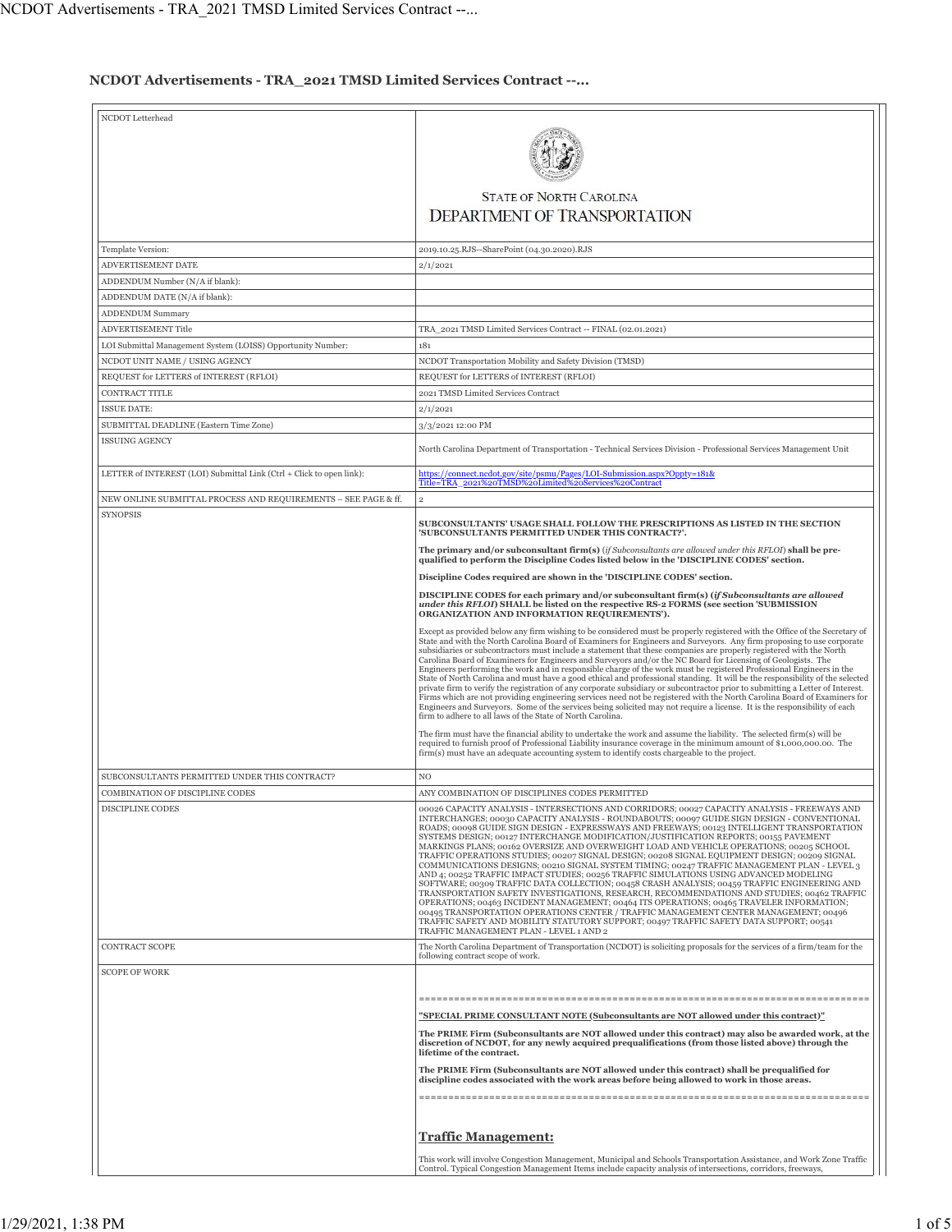## **NCDOT Advertisements - TRA\_2021 TMSD Limited Services Contract --...**

| NCDOT Letterhead                                                     |                                                                                                                                                                                                                                                       |
|----------------------------------------------------------------------|-------------------------------------------------------------------------------------------------------------------------------------------------------------------------------------------------------------------------------------------------------|
|                                                                      |                                                                                                                                                                                                                                                       |
|                                                                      |                                                                                                                                                                                                                                                       |
|                                                                      |                                                                                                                                                                                                                                                       |
|                                                                      |                                                                                                                                                                                                                                                       |
|                                                                      | <b>STATE OF NORTH CAROLINA</b>                                                                                                                                                                                                                        |
|                                                                      |                                                                                                                                                                                                                                                       |
|                                                                      | <b>DEPARTMENT OF TRANSPORTATION</b>                                                                                                                                                                                                                   |
|                                                                      |                                                                                                                                                                                                                                                       |
| Template Version:                                                    | 2019.10.25.RJS--SharePoint (04.30.2020).RJS                                                                                                                                                                                                           |
| <b>ADVERTISEMENT DATE</b>                                            |                                                                                                                                                                                                                                                       |
|                                                                      | 2/1/2021                                                                                                                                                                                                                                              |
| ADDENDUM Number (N/A if blank):                                      |                                                                                                                                                                                                                                                       |
| ADDENDUM DATE (N/A if blank):                                        |                                                                                                                                                                                                                                                       |
| <b>ADDENDUM Summary</b>                                              |                                                                                                                                                                                                                                                       |
| <b>ADVERTISEMENT Title</b>                                           | TRA_2021 TMSD Limited Services Contract -- FINAL (02.01.2021)                                                                                                                                                                                         |
| LOI Submittal Management System (LOISS) Opportunity Number:          | 181                                                                                                                                                                                                                                                   |
|                                                                      |                                                                                                                                                                                                                                                       |
| NCDOT UNIT NAME / USING AGENCY                                       | NCDOT Transportation Mobility and Safety Division (TMSD)                                                                                                                                                                                              |
| REQUEST for LETTERS of INTEREST (RFLOI)                              | REQUEST for LETTERS of INTEREST (RFLOI)                                                                                                                                                                                                               |
| CONTRACT TITLE                                                       | 2021 TMSD Limited Services Contract                                                                                                                                                                                                                   |
| <b>ISSUE DATE:</b>                                                   | 2/1/2021                                                                                                                                                                                                                                              |
|                                                                      | 3/3/2021 12:00 PM                                                                                                                                                                                                                                     |
| SUBMITTAL DEADLINE (Eastern Time Zone)                               |                                                                                                                                                                                                                                                       |
| <b>ISSUING AGENCY</b>                                                | North Carolina Department of Transportation - Technical Services Division - Professional Services Management Unit                                                                                                                                     |
| LETTER of INTEREST (LOI) Submittal Link (Ctrl + Click to open link): | https://connect.ncdot.gov/site/psmu/Pages/LOI-Submission.aspx?Oppty=181&<br>Title=TRA_2021%20TMSD%20Limited%20Services%20Contract                                                                                                                     |
|                                                                      |                                                                                                                                                                                                                                                       |
| NEW ONLINE SUBMITTAL PROCESS AND REQUIREMENTS - SEE PAGE & ff.       | $\overline{2}$                                                                                                                                                                                                                                        |
| <b>SYNOPSIS</b>                                                      | SUBCONSULTANTS' USAGE SHALL FOLLOW THE PRESCRIPTIONS AS LISTED IN THE SECTION                                                                                                                                                                         |
|                                                                      | 'SUBCONSULTANTS PERMITTED UNDER THIS CONTRACT?'.                                                                                                                                                                                                      |
|                                                                      | The primary and/or subconsultant firm(s) (if Subconsultants are allowed under this RFLOI) shall be pre-<br>qualified to perform the Discipline Codes listed below in the 'DISCIPLINE CODES' section.                                                  |
|                                                                      | Discipline Codes required are shown in the 'DISCIPLINE CODES' section.                                                                                                                                                                                |
|                                                                      | DISCIPLINE CODES for each primary and/or subconsultant firm(s) (if Subconsultants are allowed                                                                                                                                                         |
|                                                                      | under this RFLOI) SHALL be listed on the respective RS-2 FORMS (see section 'SUBMISSION<br>ORGANIZATION AND INFORMATION REQUIREMENTS').                                                                                                               |
|                                                                      | Except as provided below any firm wishing to be considered must be properly registered with the Office of the Secretary of                                                                                                                            |
|                                                                      | State and with the North Carolina Board of Examiners for Engineers and Surveyors. Any firm proposing to use corporate<br>subsidiaries or subcontractors must include a statement that these companies are properly registered with the North          |
|                                                                      | Carolina Board of Examiners for Engineers and Surveyors and/or the NC Board for Licensing of Geologists. The                                                                                                                                          |
|                                                                      | Engineers performing the work and in responsible charge of the work must be registered Professional Engineers in the<br>State of North Carolina and must have a good ethical and professional standing. It will be the responsibility of the selected |
|                                                                      | private firm to verify the registration of any corporate subsidiary or subcontractor prior to submitting a Letter of Interest.                                                                                                                        |
|                                                                      | Firms which are not providing engineering services need not be registered with the North Carolina Board of Examiners for                                                                                                                              |
|                                                                      | Engineers and Surveyors. Some of the services being solicited may not require a license. It is the responsibility of each<br>firm to adhere to all laws of the State of North Carolina.                                                               |
|                                                                      |                                                                                                                                                                                                                                                       |
|                                                                      | The firm must have the financial ability to undertake the work and assume the liability. The selected firm(s) will be                                                                                                                                 |
|                                                                      | required to furnish proof of Professional Liability insurance coverage in the minimum amount of \$1,000,000.00. The<br>firm(s) must have an adequate accounting system to identify costs chargeable to the project.                                   |
|                                                                      |                                                                                                                                                                                                                                                       |
| SUBCONSULTANTS PERMITTED UNDER THIS CONTRACT?                        | N <sub>O</sub>                                                                                                                                                                                                                                        |
| COMBINATION OF DISCIPLINE CODES                                      | ANY COMBINATION OF DISCIPLINES CODES PERMITTED                                                                                                                                                                                                        |
| DISCIPLINE CODES                                                     | 00026 CAPACITY ANALYSIS - INTERSECTIONS AND CORRIDORS; 00027 CAPACITY ANALYSIS - FREEWAYS AND                                                                                                                                                         |
|                                                                      | INTERCHANGES; 00030 CAPACITY ANALYSIS - ROUNDABOUTS; 00097 GUIDE SIGN DESIGN - CONVENTIONAL                                                                                                                                                           |
|                                                                      | ROADS; 00098 GUIDE SIGN DESIGN - EXPRESSWAYS AND FREEWAYS; 00123 INTELLIGENT TRANSPORTATION                                                                                                                                                           |
|                                                                      | SYSTEMS DESIGN; 00127 INTERCHANGE MODIFICATION/JUSTIFICATION REPORTS; 00155 PAVEMENT<br>MARKINGS PLANS; 00162 OVERSIZE AND OVERWEIGHT LOAD AND VEHICLE OPERATIONS; 00205 SCHOOL                                                                       |
|                                                                      | TRAFFIC OPERATIONS STUDIES; 00207 SIGNAL DESIGN; 00208 SIGNAL EQUIPMENT DESIGN; 00209 SIGNAL                                                                                                                                                          |
|                                                                      | COMMUNICATIONS DESIGNS; 00210 SIGNAL SYSTEM TIMING; 00247 TRAFFIC MANAGEMENT PLAN - LEVEL 3                                                                                                                                                           |
|                                                                      | AND 4; 00252 TRAFFIC IMPACT STUDIES; 00256 TRAFFIC SIMULATIONS USING ADVANCED MODELING<br>SOFTWARE: 00309 TRAFFIC DATA COLLECTION: 00458 CRASH ANALYSIS: 00459 TRAFFIC ENGINEERING AND                                                                |
|                                                                      | TRANSPORTATION SAFETY INVESTIGATIONS, RESEARCH, RECOMMENDATIONS AND STUDIES; 00462 TRAFFIC                                                                                                                                                            |
|                                                                      | OPERATIONS; 00463 INCIDENT MANAGEMENT; 00464 ITS OPERATIONS; 00465 TRAVELER INFORMATION;<br>00495 TRANSPORTATION OPERATIONS CENTER / TRAFFIC MANAGEMENT CENTER MANAGEMENT; 00496                                                                      |
|                                                                      | TRAFFIC SAFETY AND MOBILITY STATUTORY SUPPORT; 00497 TRAFFIC SAFETY DATA SUPPORT; 00541                                                                                                                                                               |
|                                                                      | TRAFFIC MANAGEMENT PLAN - LEVEL 1 AND 2                                                                                                                                                                                                               |
| <b>CONTRACT SCOPE</b>                                                | The North Carolina Department of Transportation (NCDOT) is soliciting proposals for the services of a firm/team for the                                                                                                                               |
|                                                                      | following contract scope of work.                                                                                                                                                                                                                     |
| <b>SCOPE OF WORK</b>                                                 |                                                                                                                                                                                                                                                       |
|                                                                      |                                                                                                                                                                                                                                                       |
|                                                                      |                                                                                                                                                                                                                                                       |
|                                                                      | "SPECIAL PRIME CONSULTANT NOTE (Subconsultants are NOT allowed under this contract)"                                                                                                                                                                  |
|                                                                      | The PRIME Firm (Subconsultants are NOT allowed under this contract) may also be awarded work, at the                                                                                                                                                  |
|                                                                      | discretion of NCDOT, for any newly acquired prequalifications (from those listed above) through the                                                                                                                                                   |
|                                                                      | lifetime of the contract.                                                                                                                                                                                                                             |
|                                                                      | The PRIME Firm (Subconsultants are NOT allowed under this contract) shall be prequalified for                                                                                                                                                         |
|                                                                      | discipline codes associated with the work areas before being allowed to work in those areas.                                                                                                                                                          |
|                                                                      |                                                                                                                                                                                                                                                       |
|                                                                      | <b>Traffic Management:</b>                                                                                                                                                                                                                            |
|                                                                      | This work will involve Congestion Management, Municipal and Schools Transportation Assistance, and Work Zone Traffic                                                                                                                                  |
|                                                                      | Control. Typical Congestion Management Items include capacity analysis of intersections, corridors, freeways,                                                                                                                                         |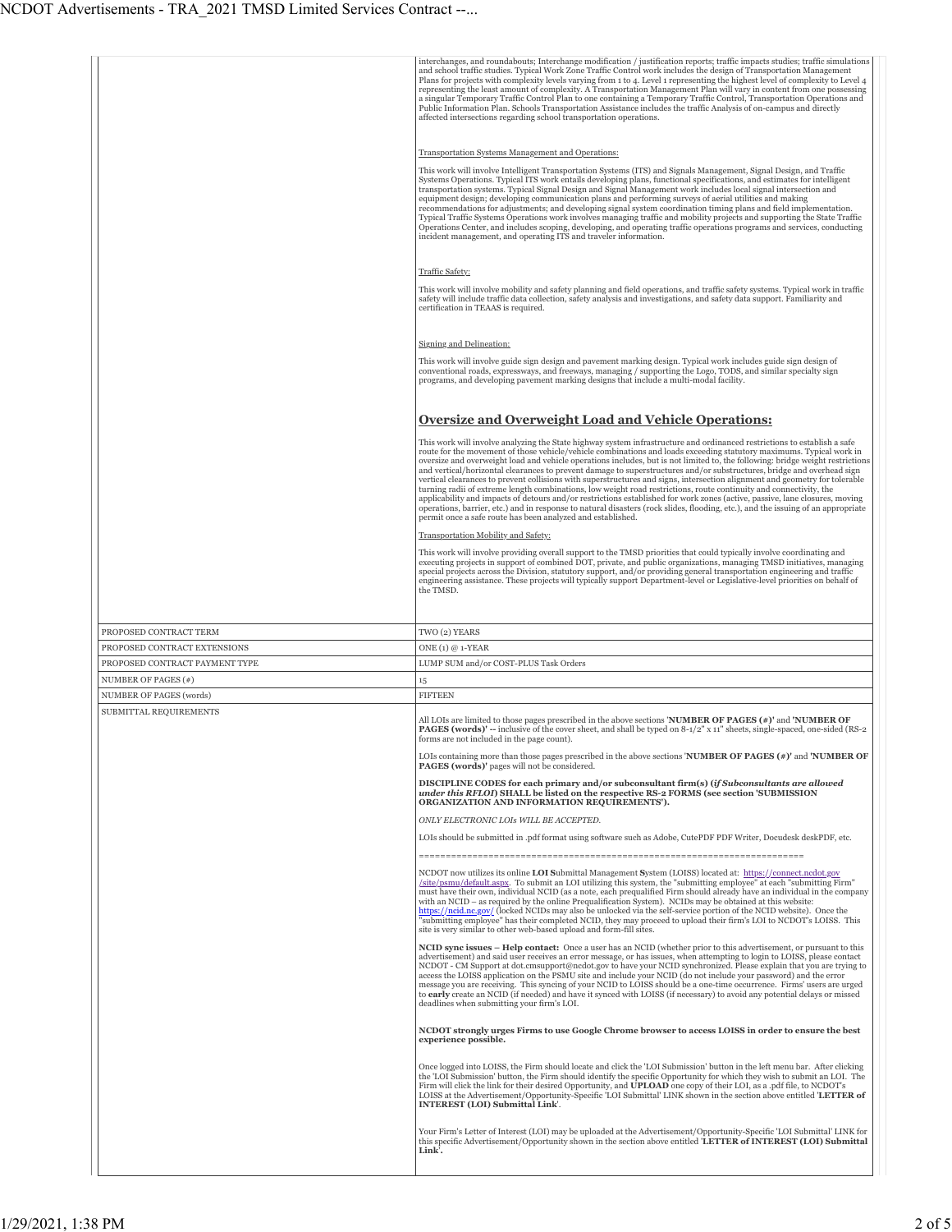|                                | interchanges, and roundabouts; Interchange modification / justification reports; traffic impacts studies; traffic simulations<br>and school traffic studies. Typical Work Zone Traffic Control work includes the design of Transportation Management<br>Plans for projects with complexity levels varying from 1 to 4. Level 1 representing the highest level of complexity to Level 4<br>representing the least amount of complexity. A Transportation Management Plan will vary in content from one possessing<br>a singular Temporary Traffic Control Plan to one containing a Temporary Traffic Control, Transportation Operations and<br>Public Information Plan. Schools Transportation Assistance includes the traffic Analysis of on-campus and directly<br>affected intersections regarding school transportation operations.                                                                                                                                                                                                                                                              |
|--------------------------------|-----------------------------------------------------------------------------------------------------------------------------------------------------------------------------------------------------------------------------------------------------------------------------------------------------------------------------------------------------------------------------------------------------------------------------------------------------------------------------------------------------------------------------------------------------------------------------------------------------------------------------------------------------------------------------------------------------------------------------------------------------------------------------------------------------------------------------------------------------------------------------------------------------------------------------------------------------------------------------------------------------------------------------------------------------------------------------------------------------|
|                                |                                                                                                                                                                                                                                                                                                                                                                                                                                                                                                                                                                                                                                                                                                                                                                                                                                                                                                                                                                                                                                                                                                     |
|                                | Transportation Systems Management and Operations:<br>This work will involve Intelligent Transportation Systems (ITS) and Signals Management, Signal Design, and Traffic<br>Systems Operations. Typical ITS work entails developing plans, functional specifications, and estimates for intelligent<br>transportation systems. Typical Signal Design and Signal Management work includes local signal intersection and<br>equipment design; developing communication plans and performing surveys of aerial utilities and making<br>recommendations for adjustments; and developing signal system coordination timing plans and field implementation.<br>Typical Traffic Systems Operations work involves managing traffic and mobility projects and supporting the State Traffic<br>Operations Center, and includes scoping, developing, and operating traffic operations programs and services, conducting<br>incident management, and operating ITS and traveler information.                                                                                                                     |
|                                |                                                                                                                                                                                                                                                                                                                                                                                                                                                                                                                                                                                                                                                                                                                                                                                                                                                                                                                                                                                                                                                                                                     |
|                                | Traffic Safety:<br>This work will involve mobility and safety planning and field operations, and traffic safety systems. Typical work in traffic<br>safety will include traffic data collection, safety analysis and investigations, and safety data support. Familiarity and<br>certification in TEAAS is required.                                                                                                                                                                                                                                                                                                                                                                                                                                                                                                                                                                                                                                                                                                                                                                                |
|                                |                                                                                                                                                                                                                                                                                                                                                                                                                                                                                                                                                                                                                                                                                                                                                                                                                                                                                                                                                                                                                                                                                                     |
|                                | Signing and Delineation:                                                                                                                                                                                                                                                                                                                                                                                                                                                                                                                                                                                                                                                                                                                                                                                                                                                                                                                                                                                                                                                                            |
|                                | This work will involve guide sign design and pavement marking design. Typical work includes guide sign design of<br>conventional roads, expressways, and freeways, managing / supporting the Logo, TODS, and similar specialty sign<br>programs, and developing pavement marking designs that include a multi-modal facility.                                                                                                                                                                                                                                                                                                                                                                                                                                                                                                                                                                                                                                                                                                                                                                       |
|                                | <b>Oversize and Overweight Load and Vehicle Operations:</b>                                                                                                                                                                                                                                                                                                                                                                                                                                                                                                                                                                                                                                                                                                                                                                                                                                                                                                                                                                                                                                         |
|                                | This work will involve analyzing the State highway system infrastructure and ordinanced restrictions to establish a safe<br>route for the movement of those vehicle/vehicle combinations and loads exceeding statutory maximums. Typical work in<br>oversize and overweight load and vehicle operations includes, but is not limited to, the following: bridge weight restrictions<br>and vertical/horizontal clearances to prevent damage to superstructures and/or substructures, bridge and overhead sign<br>vertical clearances to prevent collisions with superstructures and signs, intersection alignment and geometry for tolerable<br>turning radii of extreme length combinations, low weight road restrictions, route continuity and connectivity, the<br>applicability and impacts of detours and/or restrictions established for work zones (active, passive, lane closures, moving<br>operations, barrier, etc.) and in response to natural disasters (rock slides, flooding, etc.), and the issuing of an appropriate<br>permit once a safe route has been analyzed and established. |
|                                | Transportation Mobility and Safety:                                                                                                                                                                                                                                                                                                                                                                                                                                                                                                                                                                                                                                                                                                                                                                                                                                                                                                                                                                                                                                                                 |
|                                | This work will involve providing overall support to the TMSD priorities that could typically involve coordinating and<br>executing projects in support of combined DOT, private, and public organizations, managing TMSD initiatives, managing<br>special projects across the Division, statutory support, and/or providing general transportation engineering and traffic<br>engineering assistance. These projects will typically support Department-level or Legislative-level priorities on behalf of<br>the TMSD.                                                                                                                                                                                                                                                                                                                                                                                                                                                                                                                                                                              |
|                                |                                                                                                                                                                                                                                                                                                                                                                                                                                                                                                                                                                                                                                                                                                                                                                                                                                                                                                                                                                                                                                                                                                     |
|                                |                                                                                                                                                                                                                                                                                                                                                                                                                                                                                                                                                                                                                                                                                                                                                                                                                                                                                                                                                                                                                                                                                                     |
| PROPOSED CONTRACT TERM         | TWO (2) YEARS                                                                                                                                                                                                                                                                                                                                                                                                                                                                                                                                                                                                                                                                                                                                                                                                                                                                                                                                                                                                                                                                                       |
| PROPOSED CONTRACT EXTENSIONS   | ONE (1) @ 1-YEAR                                                                                                                                                                                                                                                                                                                                                                                                                                                                                                                                                                                                                                                                                                                                                                                                                                                                                                                                                                                                                                                                                    |
| PROPOSED CONTRACT PAYMENT TYPE | LUMP SUM and/or COST-PLUS Task Orders                                                                                                                                                                                                                                                                                                                                                                                                                                                                                                                                                                                                                                                                                                                                                                                                                                                                                                                                                                                                                                                               |
| NUMBER OF PAGES (#)            | 15                                                                                                                                                                                                                                                                                                                                                                                                                                                                                                                                                                                                                                                                                                                                                                                                                                                                                                                                                                                                                                                                                                  |
| NUMBER OF PAGES (words)        | <b>FIFTEEN</b>                                                                                                                                                                                                                                                                                                                                                                                                                                                                                                                                                                                                                                                                                                                                                                                                                                                                                                                                                                                                                                                                                      |
| SUBMITTAL REQUIREMENTS         | All LOIs are limited to those pages prescribed in the above sections <b>NUMBER OF PAGES</b> $(*)$ and <b>NUMBER OF</b><br><b>PAGES (words)'</b> -- inclusive of the cover sheet, and shall be typed on 8-1/2" x 11" sheets, single-spaced, one-sided (RS-2)<br>forms are not included in the page count).                                                                                                                                                                                                                                                                                                                                                                                                                                                                                                                                                                                                                                                                                                                                                                                           |
|                                | LOIs containing more than those pages prescribed in the above sections 'NUMBER OF PAGES $(*)'$ and 'NUMBER OF<br>PAGES (words)' pages will not be considered.                                                                                                                                                                                                                                                                                                                                                                                                                                                                                                                                                                                                                                                                                                                                                                                                                                                                                                                                       |
|                                | DISCIPLINE CODES for each primary and/or subconsultant firm(s) (if Subconsultants are allowed<br>under this RFLOI) SHALL be listed on the respective RS-2 FORMS (see section 'SUBMISSION<br>ORGANIZATION AND INFORMATION REQUIREMENTS').                                                                                                                                                                                                                                                                                                                                                                                                                                                                                                                                                                                                                                                                                                                                                                                                                                                            |
|                                | ONLY ELECTRONIC LOIs WILL BE ACCEPTED.                                                                                                                                                                                                                                                                                                                                                                                                                                                                                                                                                                                                                                                                                                                                                                                                                                                                                                                                                                                                                                                              |
|                                | LOIs should be submitted in .pdf format using software such as Adobe, CutePDF PDF Writer, Docudesk deskPDF, etc.                                                                                                                                                                                                                                                                                                                                                                                                                                                                                                                                                                                                                                                                                                                                                                                                                                                                                                                                                                                    |
|                                | NCDOT now utilizes its online LOI Submittal Management System (LOISS) located at: https://connect.ncdot.gov<br>/site/psmu/default.aspx. To submit an LOI utilizing this system, the "submitting employee" at each "submitting Firm"<br>must have their own, individual NCID (as a note, each prequalified Firm should already have an individual in the company<br>with an NCID - as required by the online Prequalification System). NCIDs may be obtained at this website:<br>https://ncid.nc.gov/ (locked NCIDs may also be unlocked via the self-service portion of the NCID website). Once the<br>"submitting employee" has their completed NCID, they may proceed to upload their firm's LOI to NCDOT's LOISS. This<br>site is very similar to other web-based upload and form-fill sites.                                                                                                                                                                                                                                                                                                    |
|                                | NCID sync issues – Help contact: Once a user has an NCID (whether prior to this advertisement, or pursuant to this<br>advertisement) and said user receives an error message, or has issues, when attempting to login to LOISS, please contact<br>NCDOT - CM Support at dot.cmsupport@ncdot.gov to have your NCID synchronized. Please explain that you are trying to<br>access the LOISS application on the PSMU site and include your NCID (do not include your password) and the error<br>message you are receiving. This syncing of your NCID to LOISS should be a one-time occurrence. Firms' users are urged<br>to early create an NCID (if needed) and have it synced with LOISS (if necessary) to avoid any potential delays or missed<br>deadlines when submitting your firm's LOI.                                                                                                                                                                                                                                                                                                        |
|                                | NCDOT strongly urges Firms to use Google Chrome browser to access LOISS in order to ensure the best<br>experience possible.                                                                                                                                                                                                                                                                                                                                                                                                                                                                                                                                                                                                                                                                                                                                                                                                                                                                                                                                                                         |
|                                | Once logged into LOISS, the Firm should locate and click the 'LOI Submission' button in the left menu bar. After clicking<br>the 'LOI Submission' button, the Firm should identify the specific Opportunity for which they wish to submit an LOI. The<br>Firm will click the link for their desired Opportunity, and <b>UPLOAD</b> one copy of their LOI, as a .pdf file, to NCDOT's<br>LOISS at the Advertisement/Opportunity-Specific 'LOI Submittal' LINK shown in the section above entitled 'LETTER of<br><b>INTEREST (LOI) Submittal Link'.</b>                                                                                                                                                                                                                                                                                                                                                                                                                                                                                                                                               |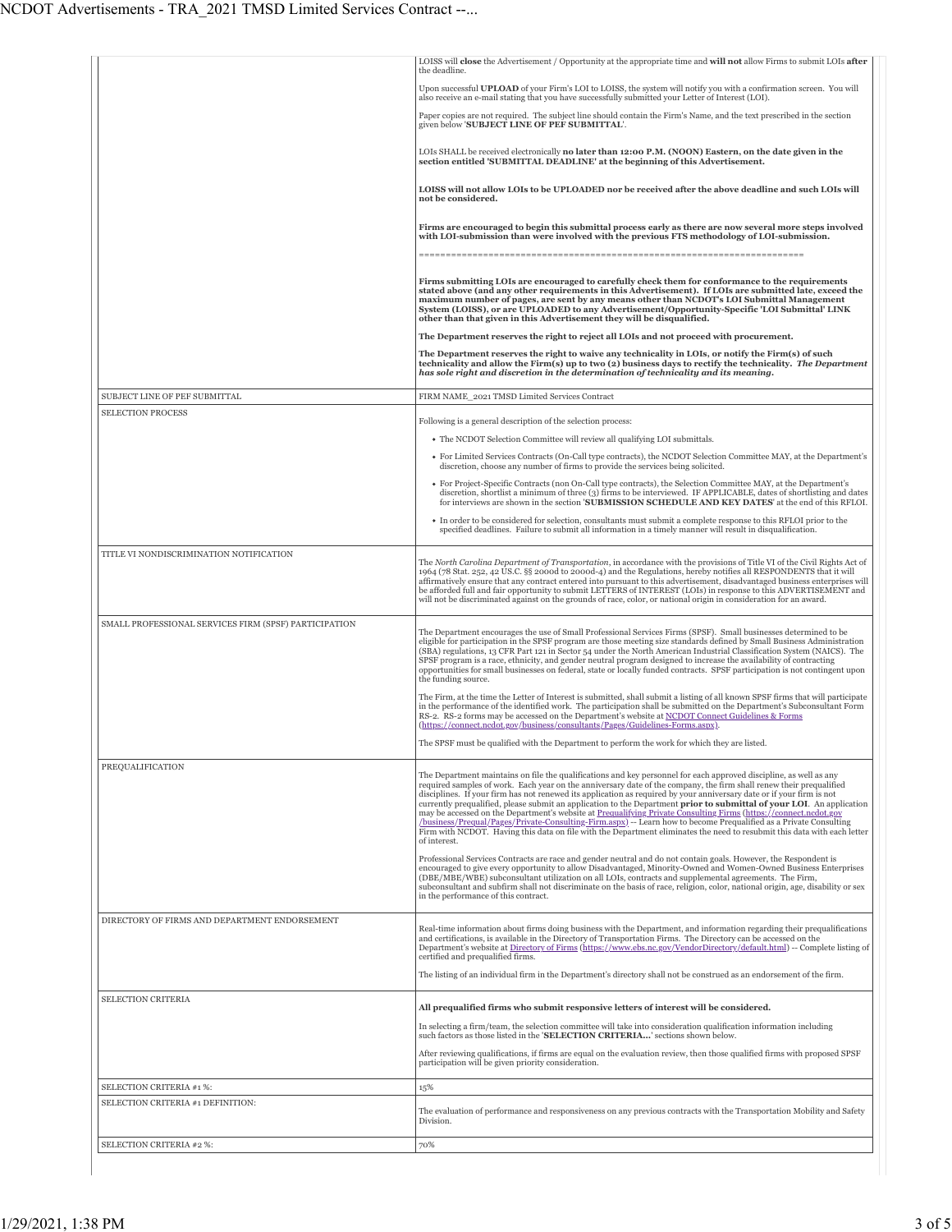|                                                       | LOISS will close the Advertisement / Opportunity at the appropriate time and will not allow Firms to submit LOIs after<br>the deadline.                                                                                                                                                                                                                                                                                                                                                                                                                                                                                                                                               |
|-------------------------------------------------------|---------------------------------------------------------------------------------------------------------------------------------------------------------------------------------------------------------------------------------------------------------------------------------------------------------------------------------------------------------------------------------------------------------------------------------------------------------------------------------------------------------------------------------------------------------------------------------------------------------------------------------------------------------------------------------------|
|                                                       | Upon successful UPLOAD of your Firm's LOI to LOISS, the system will notify you with a confirmation screen. You will<br>also receive an e-mail stating that you have successfully submitted your Letter of Interest (LOI).                                                                                                                                                                                                                                                                                                                                                                                                                                                             |
|                                                       | Paper copies are not required. The subject line should contain the Firm's Name, and the text prescribed in the section<br>given below 'SUBJECT LINE OF PEF SUBMITTAL'.                                                                                                                                                                                                                                                                                                                                                                                                                                                                                                                |
|                                                       | LOIs SHALL be received electronically no later than 12:00 P.M. (NOON) Eastern, on the date given in the<br>section entitled 'SUBMITTAL DEADLINE' at the beginning of this Advertisement.                                                                                                                                                                                                                                                                                                                                                                                                                                                                                              |
|                                                       | LOISS will not allow LOIs to be UPLOADED nor be received after the above deadline and such LOIs will<br>not be considered.                                                                                                                                                                                                                                                                                                                                                                                                                                                                                                                                                            |
|                                                       | Firms are encouraged to begin this submittal process early as there are now several more steps involved<br>with LOI-submission than were involved with the previous FTS methodology of LOI-submission.                                                                                                                                                                                                                                                                                                                                                                                                                                                                                |
|                                                       | Firms submitting LOIs are encouraged to carefully check them for conformance to the requirements<br>stated above (and any other requirements in this Advertisement). If LOIs are submitted late, exceed the<br>maximum number of pages, are sent by any means other than NCDOT's LOI Submittal Management<br>System (LOISS), or are UPLOADED to any Advertisement/Opportunity-Specific 'LOI Submittal' LINK<br>other than that given in this Advertisement they will be disqualified.<br>The Department reserves the right to reject all LOIs and not proceed with procurement.<br>The Department reserves the right to waive any technicality in LOIs, or notify the Firm(s) of such |
|                                                       | technicality and allow the Firm(s) up to two (2) business days to rectify the technicality. The Department<br>has sole right and discretion in the determination of technicality and its meaning.                                                                                                                                                                                                                                                                                                                                                                                                                                                                                     |
| SUBJECT LINE OF PEF SUBMITTAL                         | FIRM NAME_2021 TMSD Limited Services Contract                                                                                                                                                                                                                                                                                                                                                                                                                                                                                                                                                                                                                                         |
| <b>SELECTION PROCESS</b>                              | Following is a general description of the selection process:                                                                                                                                                                                                                                                                                                                                                                                                                                                                                                                                                                                                                          |
|                                                       | • The NCDOT Selection Committee will review all qualifying LOI submittals.                                                                                                                                                                                                                                                                                                                                                                                                                                                                                                                                                                                                            |
|                                                       | • For Limited Services Contracts (On-Call type contracts), the NCDOT Selection Committee MAY, at the Department's<br>discretion, choose any number of firms to provide the services being solicited.                                                                                                                                                                                                                                                                                                                                                                                                                                                                                  |
|                                                       | • For Project-Specific Contracts (non On-Call type contracts), the Selection Committee MAY, at the Department's<br>discretion, shortlist a minimum of three (3) firms to be interviewed. IF APPLICABLE, dates of shortlisting and dates<br>for interviews are shown in the section 'SUBMISSION SCHEDULE AND KEY DATES' at the end of this RFLOI.                                                                                                                                                                                                                                                                                                                                      |
|                                                       | • In order to be considered for selection, consultants must submit a complete response to this RFLOI prior to the<br>specified deadlines. Failure to submit all information in a timely manner will result in disqualification.                                                                                                                                                                                                                                                                                                                                                                                                                                                       |
| TITLE VI NONDISCRIMINATION NOTIFICATION               |                                                                                                                                                                                                                                                                                                                                                                                                                                                                                                                                                                                                                                                                                       |
|                                                       | The North Carolina Department of Transportation, in accordance with the provisions of Title VI of the Civil Rights Act of<br>1964 (78 Stat. 252, 42 US.C. §§ 2000d to 2000d-4) and the Regulations, hereby notifies all RESPONDENTS that it will<br>affirmatively ensure that any contract entered into pursuant to this advertisement, disadvantaged business enterprises will<br>be afforded full and fair opportunity to submit LETTERS of INTEREST (LOIs) in response to this ADVERTISEMENT and<br>will not be discriminated against on the grounds of race, color, or national origin in consideration for an award.                                                             |
| SMALL PROFESSIONAL SERVICES FIRM (SPSF) PARTICIPATION | The Department encourages the use of Small Professional Services Firms (SPSF). Small businesses determined to be                                                                                                                                                                                                                                                                                                                                                                                                                                                                                                                                                                      |
|                                                       | eligible for participation in the SPSF program are those meeting size standards defined by Small Business Administration<br>(SBA) regulations, 13 CFR Part 121 in Sector 54 under the North American Industrial Classification System (NAICS). The<br>SPSF program is a race, ethnicity, and gender neutral program designed to increase the availability of contracting<br>opportunities for small businesses on federal, state or locally funded contracts. SPSF participation is not contingent upon<br>the funding source.                                                                                                                                                        |
|                                                       | The Firm, at the time the Letter of Interest is submitted, shall submit a listing of all known SPSF firms that will participate<br>in the performance of the identified work. The participation shall be submitted on the Department's Subconsultant Form<br>RS-2. RS-2 forms may be accessed on the Department's website at NCDOT Connect Guidelines & Forms<br>(https://connect.ncdot.gov/business/consultants/Pages/Guidelines-Forms.aspx).                                                                                                                                                                                                                                        |
|                                                       | The SPSF must be qualified with the Department to perform the work for which they are listed.                                                                                                                                                                                                                                                                                                                                                                                                                                                                                                                                                                                         |
| PREQUALIFICATION                                      | The Department maintains on file the qualifications and key personnel for each approved discipline, as well as any<br>required samples of work. Each year on the anniversary date of the company, the firm shall renew their prequalified<br>disciplines. If your firm has not renewed its application as required by your anniversary date or if your firm is not<br>currently prequalified, please submit an application to the Department prior to submittal of your LOI. An application                                                                                                                                                                                           |
|                                                       | may be accessed on the Department's website at Prequalifying Private Consulting Firms (https://connect.ncdot.gov<br>(business/Prequal/Pages/Private-Consulting-Firm.aspx) -- Learn how to become Prequalified as a Private Consulting<br>Firm with NCDOT. Having this data on file with the Department eliminates the need to resubmit this data with each letter<br>of interest.                                                                                                                                                                                                                                                                                                     |
|                                                       | Professional Services Contracts are race and gender neutral and do not contain goals. However, the Respondent is<br>encouraged to give every opportunity to allow Disadvantaged, Minority-Owned and Women-Owned Business Enterprises<br>(DBE/MBE/WBE) subconsultant utilization on all LOIs, contracts and supplemental agreements. The Firm,<br>subconsultant and subfirm shall not discriminate on the basis of race, religion, color, national origin, age, disability or sex<br>in the performance of this contract.                                                                                                                                                              |
| DIRECTORY OF FIRMS AND DEPARTMENT ENDORSEMENT         | Real-time information about firms doing business with the Department, and information regarding their prequalifications<br>and certifications, is available in the Directory of Transportation Firms. The Directory can be accessed on the<br>Department's website at Directory of Firms (https://www.ebs.nc.gov/VendorDirectory/default.html) -- Complete listing of<br>certified and prequalified firms.                                                                                                                                                                                                                                                                            |
|                                                       | The listing of an individual firm in the Department's directory shall not be construed as an endorsement of the firm.                                                                                                                                                                                                                                                                                                                                                                                                                                                                                                                                                                 |
| SELECTION CRITERIA                                    | All prequalified firms who submit responsive letters of interest will be considered.                                                                                                                                                                                                                                                                                                                                                                                                                                                                                                                                                                                                  |
|                                                       | In selecting a firm/team, the selection committee will take into consideration qualification information including<br>such factors as those listed in the 'SELECTION CRITERIA' sections shown below.                                                                                                                                                                                                                                                                                                                                                                                                                                                                                  |
|                                                       | After reviewing qualifications, if firms are equal on the evaluation review, then those qualified firms with proposed SPSF<br>participation will be given priority consideration.                                                                                                                                                                                                                                                                                                                                                                                                                                                                                                     |
| SELECTION CRITERIA #1 %:                              | 15%                                                                                                                                                                                                                                                                                                                                                                                                                                                                                                                                                                                                                                                                                   |
| SELECTION CRITERIA #1 DEFINITION:                     | The evaluation of performance and responsiveness on any previous contracts with the Transportation Mobility and Safety<br>Division.                                                                                                                                                                                                                                                                                                                                                                                                                                                                                                                                                   |
| SELECTION CRITERIA #2 %:                              | 70%                                                                                                                                                                                                                                                                                                                                                                                                                                                                                                                                                                                                                                                                                   |
|                                                       |                                                                                                                                                                                                                                                                                                                                                                                                                                                                                                                                                                                                                                                                                       |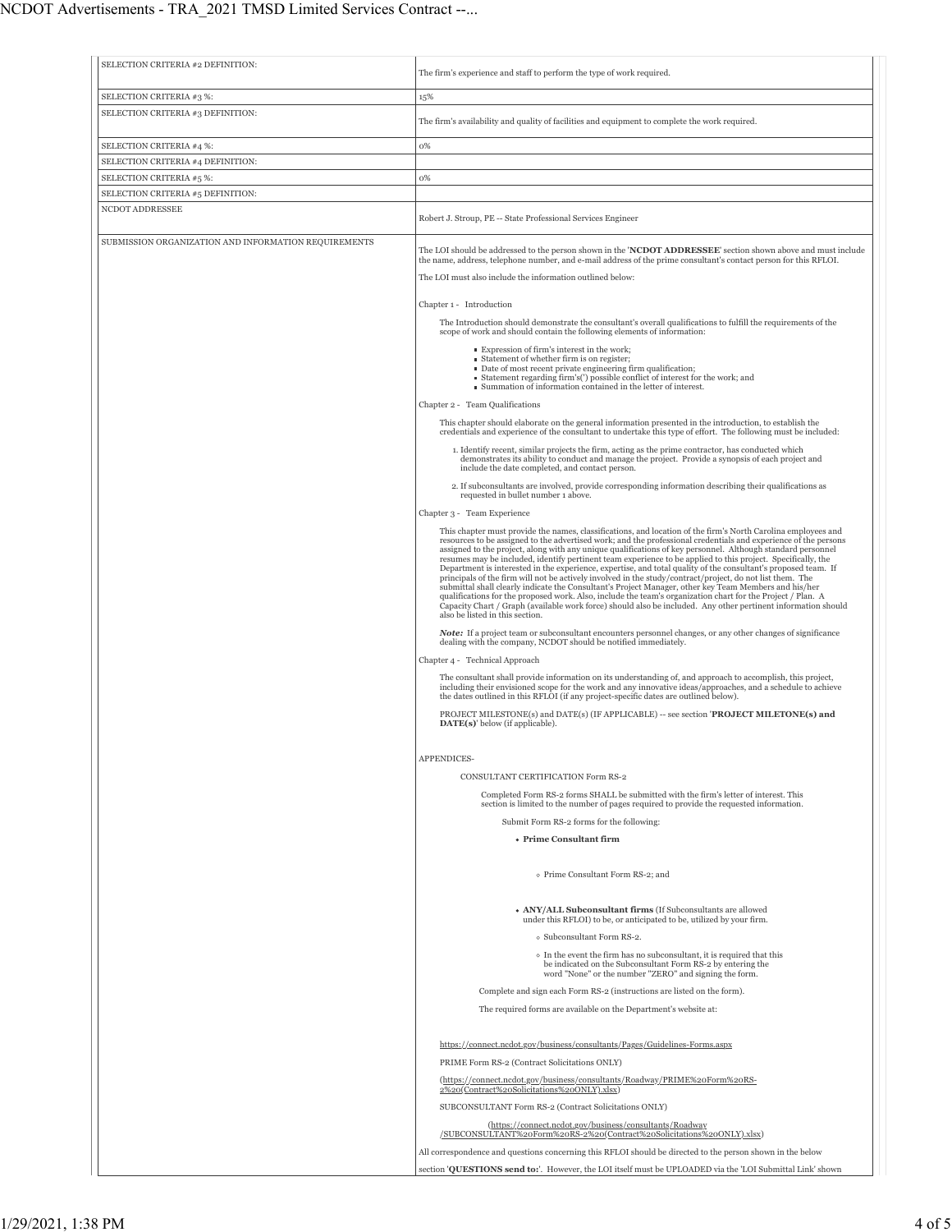| SELECTION CRITERIA #2 DEFINITION:                             | The firm's experience and staff to perform the type of work required.                                                                                                                                                                                                                                                                                                                                                                                                                                                                                                                                                                                                                                                                                                                                                                                                                                                                                                                                                                                                      |
|---------------------------------------------------------------|----------------------------------------------------------------------------------------------------------------------------------------------------------------------------------------------------------------------------------------------------------------------------------------------------------------------------------------------------------------------------------------------------------------------------------------------------------------------------------------------------------------------------------------------------------------------------------------------------------------------------------------------------------------------------------------------------------------------------------------------------------------------------------------------------------------------------------------------------------------------------------------------------------------------------------------------------------------------------------------------------------------------------------------------------------------------------|
|                                                               |                                                                                                                                                                                                                                                                                                                                                                                                                                                                                                                                                                                                                                                                                                                                                                                                                                                                                                                                                                                                                                                                            |
| SELECTION CRITERIA #3 %:<br>SELECTION CRITERIA #3 DEFINITION: | 15%                                                                                                                                                                                                                                                                                                                                                                                                                                                                                                                                                                                                                                                                                                                                                                                                                                                                                                                                                                                                                                                                        |
|                                                               | The firm's availability and quality of facilities and equipment to complete the work required.                                                                                                                                                                                                                                                                                                                                                                                                                                                                                                                                                                                                                                                                                                                                                                                                                                                                                                                                                                             |
| SELECTION CRITERIA #4 %:                                      | 0%                                                                                                                                                                                                                                                                                                                                                                                                                                                                                                                                                                                                                                                                                                                                                                                                                                                                                                                                                                                                                                                                         |
| SELECTION CRITERIA #4 DEFINITION:<br>SELECTION CRITERIA #5 %: | 0%                                                                                                                                                                                                                                                                                                                                                                                                                                                                                                                                                                                                                                                                                                                                                                                                                                                                                                                                                                                                                                                                         |
| SELECTION CRITERIA #5 DEFINITION:                             |                                                                                                                                                                                                                                                                                                                                                                                                                                                                                                                                                                                                                                                                                                                                                                                                                                                                                                                                                                                                                                                                            |
| NCDOT ADDRESSEE                                               |                                                                                                                                                                                                                                                                                                                                                                                                                                                                                                                                                                                                                                                                                                                                                                                                                                                                                                                                                                                                                                                                            |
|                                                               | Robert J. Stroup, PE -- State Professional Services Engineer                                                                                                                                                                                                                                                                                                                                                                                                                                                                                                                                                                                                                                                                                                                                                                                                                                                                                                                                                                                                               |
| SUBMISSION ORGANIZATION AND INFORMATION REQUIREMENTS          | The LOI should be addressed to the person shown in the 'NCDOT ADDRESSEE' section shown above and must include<br>the name, address, telephone number, and e-mail address of the prime consultant's contact person for this RFLOI.                                                                                                                                                                                                                                                                                                                                                                                                                                                                                                                                                                                                                                                                                                                                                                                                                                          |
|                                                               | The LOI must also include the information outlined below:                                                                                                                                                                                                                                                                                                                                                                                                                                                                                                                                                                                                                                                                                                                                                                                                                                                                                                                                                                                                                  |
|                                                               | Chapter 1 - Introduction                                                                                                                                                                                                                                                                                                                                                                                                                                                                                                                                                                                                                                                                                                                                                                                                                                                                                                                                                                                                                                                   |
|                                                               | The Introduction should demonstrate the consultant's overall qualifications to fulfill the requirements of the<br>scope of work and should contain the following elements of information:                                                                                                                                                                                                                                                                                                                                                                                                                                                                                                                                                                                                                                                                                                                                                                                                                                                                                  |
|                                                               | Expression of firm's interest in the work;<br>■ Statement of whether firm is on register;<br>Date of most recent private engineering firm qualification;<br>■ Statement regarding firm's(') possible conflict of interest for the work; and<br>Summation of information contained in the letter of interest.                                                                                                                                                                                                                                                                                                                                                                                                                                                                                                                                                                                                                                                                                                                                                               |
|                                                               | Chapter 2 - Team Qualifications                                                                                                                                                                                                                                                                                                                                                                                                                                                                                                                                                                                                                                                                                                                                                                                                                                                                                                                                                                                                                                            |
|                                                               | This chapter should elaborate on the general information presented in the introduction, to establish the<br>credentials and experience of the consultant to undertake this type of effort. The following must be included:                                                                                                                                                                                                                                                                                                                                                                                                                                                                                                                                                                                                                                                                                                                                                                                                                                                 |
|                                                               | 1. Identify recent, similar projects the firm, acting as the prime contractor, has conducted which<br>demonstrates its ability to conduct and manage the project. Provide a synopsis of each project and<br>include the date completed, and contact person.                                                                                                                                                                                                                                                                                                                                                                                                                                                                                                                                                                                                                                                                                                                                                                                                                |
|                                                               | 2. If subconsultants are involved, provide corresponding information describing their qualifications as<br>requested in bullet number 1 above.                                                                                                                                                                                                                                                                                                                                                                                                                                                                                                                                                                                                                                                                                                                                                                                                                                                                                                                             |
|                                                               | Chapter 3 - Team Experience                                                                                                                                                                                                                                                                                                                                                                                                                                                                                                                                                                                                                                                                                                                                                                                                                                                                                                                                                                                                                                                |
|                                                               | This chapter must provide the names, classifications, and location of the firm's North Carolina employees and<br>resources to be assigned to the advertised work; and the professional credentials and experience of the persons<br>assigned to the project, along with any unique qualifications of key personnel. Although standard personnel<br>resumes may be included, identify pertinent team experience to be applied to this project. Specifically, the<br>Department is interested in the experience, expertise, and total quality of the consultant's proposed team. If<br>principals of the firm will not be actively involved in the study/contract/project, do not list them. The<br>submittal shall clearly indicate the Consultant's Project Manager, other key Team Members and his/her<br>qualifications for the proposed work. Also, include the team's organization chart for the Project / Plan. A<br>Capacity Chart / Graph (available work force) should also be included. Any other pertinent information should<br>also be listed in this section. |
|                                                               | <b>Note:</b> If a project team or subconsultant encounters personnel changes, or any other changes of significance<br>dealing with the company, NCDOT should be notified immediately.                                                                                                                                                                                                                                                                                                                                                                                                                                                                                                                                                                                                                                                                                                                                                                                                                                                                                      |
|                                                               | Chapter 4 - Technical Approach                                                                                                                                                                                                                                                                                                                                                                                                                                                                                                                                                                                                                                                                                                                                                                                                                                                                                                                                                                                                                                             |
|                                                               | The consultant shall provide information on its understanding of, and approach to accomplish, this project,<br>including their envisioned scope for the work and any innovative ideas/approaches, and a schedule to achieve<br>the dates outlined in this RFLOI (if any project-specific dates are outlined below).                                                                                                                                                                                                                                                                                                                                                                                                                                                                                                                                                                                                                                                                                                                                                        |
|                                                               | PROJECT MILESTONE(s) and DATE(s) (IF APPLICABLE) -- see section 'PROJECT MILETONE(s) and<br>$\textbf{DATE}(s)$ ' below (if applicable).                                                                                                                                                                                                                                                                                                                                                                                                                                                                                                                                                                                                                                                                                                                                                                                                                                                                                                                                    |
|                                                               | APPENDICES-                                                                                                                                                                                                                                                                                                                                                                                                                                                                                                                                                                                                                                                                                                                                                                                                                                                                                                                                                                                                                                                                |
|                                                               | CONSULTANT CERTIFICATION Form RS-2                                                                                                                                                                                                                                                                                                                                                                                                                                                                                                                                                                                                                                                                                                                                                                                                                                                                                                                                                                                                                                         |
|                                                               | Completed Form RS-2 forms SHALL be submitted with the firm's letter of interest. This<br>section is limited to the number of pages required to provide the requested information.                                                                                                                                                                                                                                                                                                                                                                                                                                                                                                                                                                                                                                                                                                                                                                                                                                                                                          |
|                                                               | Submit Form RS-2 forms for the following:                                                                                                                                                                                                                                                                                                                                                                                                                                                                                                                                                                                                                                                                                                                                                                                                                                                                                                                                                                                                                                  |
|                                                               | • Prime Consultant firm                                                                                                                                                                                                                                                                                                                                                                                                                                                                                                                                                                                                                                                                                                                                                                                                                                                                                                                                                                                                                                                    |
|                                                               | o Prime Consultant Form RS-2; and                                                                                                                                                                                                                                                                                                                                                                                                                                                                                                                                                                                                                                                                                                                                                                                                                                                                                                                                                                                                                                          |
|                                                               | • ANY/ALL Subconsultant firms (If Subconsultants are allowed<br>under this RFLOI) to be, or anticipated to be, utilized by your firm.                                                                                                                                                                                                                                                                                                                                                                                                                                                                                                                                                                                                                                                                                                                                                                                                                                                                                                                                      |
|                                                               | o Subconsultant Form RS-2.                                                                                                                                                                                                                                                                                                                                                                                                                                                                                                                                                                                                                                                                                                                                                                                                                                                                                                                                                                                                                                                 |
|                                                               | • In the event the firm has no subconsultant, it is required that this<br>be indicated on the Subconsultant Form RS-2 by entering the<br>word "None" or the number "ZERO" and signing the form.                                                                                                                                                                                                                                                                                                                                                                                                                                                                                                                                                                                                                                                                                                                                                                                                                                                                            |
|                                                               | Complete and sign each Form RS-2 (instructions are listed on the form).                                                                                                                                                                                                                                                                                                                                                                                                                                                                                                                                                                                                                                                                                                                                                                                                                                                                                                                                                                                                    |
|                                                               | The required forms are available on the Department's website at:                                                                                                                                                                                                                                                                                                                                                                                                                                                                                                                                                                                                                                                                                                                                                                                                                                                                                                                                                                                                           |
|                                                               | https://connect.ncdot.gov/business/consultants/Pages/Guidelines-Forms.aspx                                                                                                                                                                                                                                                                                                                                                                                                                                                                                                                                                                                                                                                                                                                                                                                                                                                                                                                                                                                                 |
|                                                               | PRIME Form RS-2 (Contract Solicitations ONLY)                                                                                                                                                                                                                                                                                                                                                                                                                                                                                                                                                                                                                                                                                                                                                                                                                                                                                                                                                                                                                              |
|                                                               | (https://connect.ncdot.gov/business/consultants/Roadway/PRIME%20Form%20RS-<br>2%20(Contract%20Solicitations%20ONLY).xlsx)                                                                                                                                                                                                                                                                                                                                                                                                                                                                                                                                                                                                                                                                                                                                                                                                                                                                                                                                                  |
|                                                               | SUBCONSULTANT Form RS-2 (Contract Solicitations ONLY)                                                                                                                                                                                                                                                                                                                                                                                                                                                                                                                                                                                                                                                                                                                                                                                                                                                                                                                                                                                                                      |
|                                                               | (https://connect.ncdot.gov/business/consultants/Roadway<br>/SUBCONSULTANT%20Form%20RS-2%20(Contract%20Solicitations%20ONLY).xlsx)                                                                                                                                                                                                                                                                                                                                                                                                                                                                                                                                                                                                                                                                                                                                                                                                                                                                                                                                          |
|                                                               | All correspondence and questions concerning this RFLOI should be directed to the person shown in the below                                                                                                                                                                                                                                                                                                                                                                                                                                                                                                                                                                                                                                                                                                                                                                                                                                                                                                                                                                 |
|                                                               | section 'QUESTIONS send to:'. However, the LOI itself must be UPLOADED via the 'LOI Submittal Link' shown                                                                                                                                                                                                                                                                                                                                                                                                                                                                                                                                                                                                                                                                                                                                                                                                                                                                                                                                                                  |